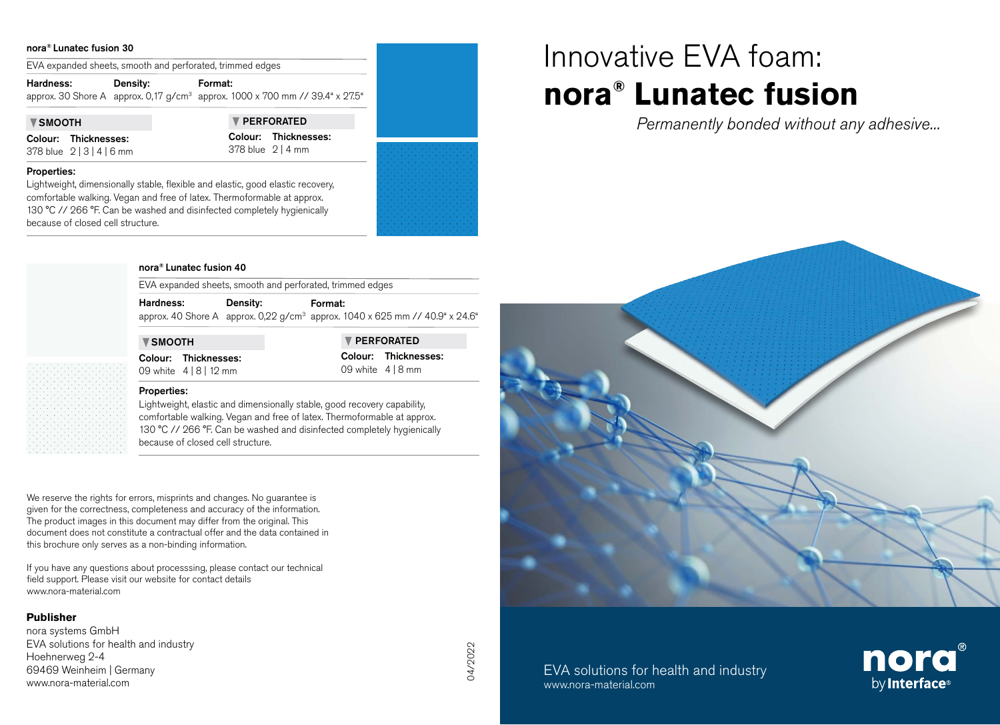## nora® Lunatec fusion 30

EVA expanded sheets, smooth and perforated, trimmed edges

| Hardness: | <b>Density:</b> | Format:                                                                                  |
|-----------|-----------------|------------------------------------------------------------------------------------------|
|           |                 | approx. 30 Shore A approx. 0,17 g/cm <sup>3</sup> approx. 1000 x 700 mm // 39.4" x 27.5" |
|           |                 |                                                                                          |

Properties:

Colour: Thicknesses: 378 blue 2 | 3 | 4 | 6 mm

because of closed cell structure.

**V SMOOTH V PERFORATED** Colour: Thicknesses: 378 blue 2 | 4 mm



## nora® Lunatec fusion 40

Lightweight, dimensionally stable, flexible and elastic, good elastic recovery, comfortable walking. Vegan and free of latex. Thermoformable at approx. 130 °C // 266 °F. Can be washed and disinfected completely hygienically

EVA expanded sheets, smooth and perforated, trimmed edges

Hardness: approx. 40 Shore A approx. 0,22 g/cm<sup>3</sup> approx. 1040 x 625 mm // 40.9" x 24.6" Density: Format:

**V** SMOOTH **PERFORATED** Colour: Thicknesses: 09 white 4 | 8 | 12 mm

Colour: Thicknesses: 09 white 4 | 8 mm

## Properties:

Lightweight, elastic and dimensionally stable, good recovery capability, comfortable walking. Vegan and free of latex. Thermoformable at approx. 130 °C // 266 °F. Can be washed and disinfected completely hygienically because of closed cell structure.

We reserve the rights for errors, misprints and changes. No guarantee is given for the correctness, completeness and accuracy of the information. The product images in this document may differ from the original. This document does not constitute a contractual offer and the data contained in this brochure only serves as a non-binding information.

If you have any questions about processsing, please contact our technical field support. Please visit our website for contact details www.nora-material.com

## **Publisher**

nora systems GmbH EVA solutions for health and industry Hoehnerweg 2-4 69469 Weinheim | Germany www.nora-material.com

# Innovative EVA foam: **nora® Lunatec fusion**

*Permanently bonded without any adhesive...*



EVA solutions for health and industry www.nora-material.com